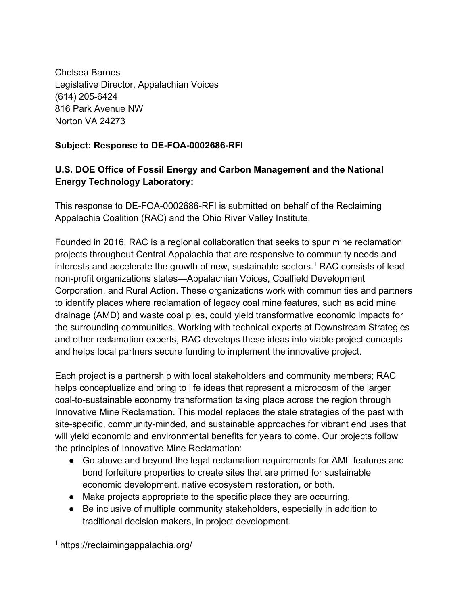Chelsea Barnes Legislative Director, Appalachian Voices (614) 205-6424 816 Park Avenue NW Norton VA 24273

# **Subject: Response to DE-FOA-0002686-RFI**

# **U.S. DOE Office of Fossil Energy and Carbon Management and the National Energy Technology Laboratory:**

This response to DE-FOA-0002686-RFI is submitted on behalf of the Reclaiming Appalachia Coalition (RAC) and the Ohio River Valley Institute.

Founded in 2016, RAC is a regional collaboration that seeks to spur mine reclamation projects throughout Central Appalachia that are responsive to community needs and interests and accelerate the growth of new, sustainable sectors.<sup>1</sup> RAC consists of lead non-profit organizations states—Appalachian Voices, Coalfield Development Corporation, and Rural Action. These organizations work with communities and partners to identify places where reclamation of legacy coal mine features, such as acid mine drainage (AMD) and waste coal piles, could yield transformative economic impacts for the surrounding communities. Working with technical experts at Downstream Strategies and other reclamation experts, RAC develops these ideas into viable project concepts and helps local partners secure funding to implement the innovative project.

Each project is a partnership with local stakeholders and community members; RAC helps conceptualize and bring to life ideas that represent a microcosm of the larger coal-to-sustainable economy transformation taking place across the region through Innovative Mine Reclamation. This model replaces the stale strategies of the past with site-specific, community-minded, and sustainable approaches for vibrant end uses that will yield economic and environmental benefits for years to come. Our projects follow the principles of Innovative Mine Reclamation:

- Go above and beyond the legal reclamation requirements for AML features and bond forfeiture properties to create sites that are primed for sustainable economic development, native ecosystem restoration, or both.
- Make projects appropriate to the specific place they are occurring.
- Be inclusive of multiple community stakeholders, especially in addition to traditional decision makers, in project development.

<sup>1</sup> https://reclaimingappalachia.org/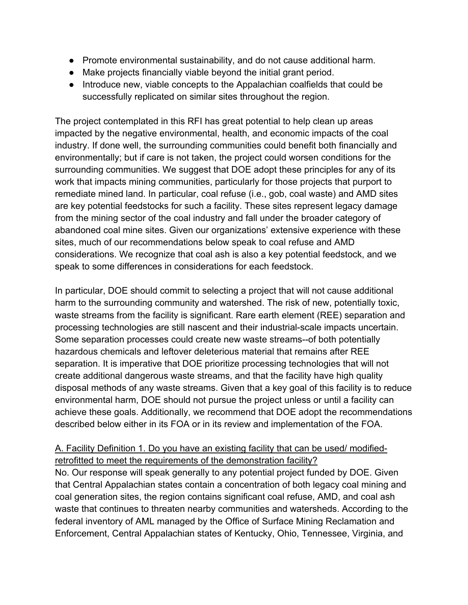- Promote environmental sustainability, and do not cause additional harm.
- Make projects financially viable beyond the initial grant period.
- Introduce new, viable concepts to the Appalachian coalfields that could be successfully replicated on similar sites throughout the region.

The project contemplated in this RFI has great potential to help clean up areas impacted by the negative environmental, health, and economic impacts of the coal industry. If done well, the surrounding communities could benefit both financially and environmentally; but if care is not taken, the project could worsen conditions for the surrounding communities. We suggest that DOE adopt these principles for any of its work that impacts mining communities, particularly for those projects that purport to remediate mined land. In particular, coal refuse (i.e., gob, coal waste) and AMD sites are key potential feedstocks for such a facility. These sites represent legacy damage from the mining sector of the coal industry and fall under the broader category of abandoned coal mine sites. Given our organizations' extensive experience with these sites, much of our recommendations below speak to coal refuse and AMD considerations. We recognize that coal ash is also a key potential feedstock, and we speak to some differences in considerations for each feedstock.

In particular, DOE should commit to selecting a project that will not cause additional harm to the surrounding community and watershed. The risk of new, potentially toxic, waste streams from the facility is significant. Rare earth element (REE) separation and processing technologies are still nascent and their industrial-scale impacts uncertain. Some separation processes could create new waste streams--of both potentially hazardous chemicals and leftover deleterious material that remains after REE separation. It is imperative that DOE prioritize processing technologies that will not create additional dangerous waste streams, and that the facility have high quality disposal methods of any waste streams. Given that a key goal of this facility is to reduce environmental harm, DOE should not pursue the project unless or until a facility can achieve these goals. Additionally, we recommend that DOE adopt the recommendations described below either in its FOA or in its review and implementation of the FOA.

### A. Facility Definition 1. Do you have an existing facility that can be used/ modifiedretrofitted to meet the requirements of the demonstration facility?

No. Our response will speak generally to any potential project funded by DOE. Given that Central Appalachian states contain a concentration of both legacy coal mining and coal generation sites, the region contains significant coal refuse, AMD, and coal ash waste that continues to threaten nearby communities and watersheds. According to the federal inventory of AML managed by the Office of Surface Mining Reclamation and Enforcement, Central Appalachian states of Kentucky, Ohio, Tennessee, Virginia, and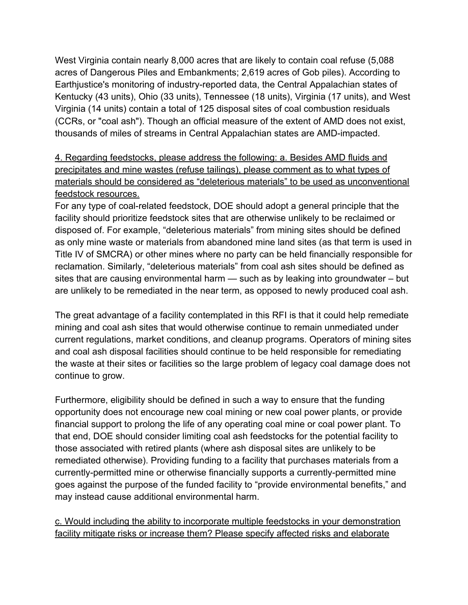West Virginia contain nearly 8,000 acres that are likely to contain coal refuse (5,088 acres of Dangerous Piles and Embankments; 2,619 acres of Gob piles). According to Earthjustice's monitoring of industry-reported data, the Central Appalachian states of Kentucky (43 units), Ohio (33 units), Tennessee (18 units), Virginia (17 units), and West Virginia (14 units) contain a total of 125 disposal sites of coal combustion residuals (CCRs, or "coal ash"). Though an official measure of the extent of AMD does not exist, thousands of miles of streams in Central Appalachian states are AMD-impacted.

4. Regarding feedstocks, please address the following: a. Besides AMD fluids and precipitates and mine wastes (refuse tailings), please comment as to what types of materials should be considered as "deleterious materials" to be used as unconventional feedstock resources.

For any type of coal-related feedstock, DOE should adopt a general principle that the facility should prioritize feedstock sites that are otherwise unlikely to be reclaimed or disposed of. For example, "deleterious materials" from mining sites should be defined as only mine waste or materials from abandoned mine land sites (as that term is used in Title IV of SMCRA) or other mines where no party can be held financially responsible for reclamation. Similarly, "deleterious materials" from coal ash sites should be defined as sites that are causing environmental harm — such as by leaking into groundwater – but are unlikely to be remediated in the near term, as opposed to newly produced coal ash.

The great advantage of a facility contemplated in this RFI is that it could help remediate mining and coal ash sites that would otherwise continue to remain unmediated under current regulations, market conditions, and cleanup programs. Operators of mining sites and coal ash disposal facilities should continue to be held responsible for remediating the waste at their sites or facilities so the large problem of legacy coal damage does not continue to grow.

Furthermore, eligibility should be defined in such a way to ensure that the funding opportunity does not encourage new coal mining or new coal power plants, or provide financial support to prolong the life of any operating coal mine or coal power plant. To that end, DOE should consider limiting coal ash feedstocks for the potential facility to those associated with retired plants (where ash disposal sites are unlikely to be remediated otherwise). Providing funding to a facility that purchases materials from a currently-permitted mine or otherwise financially supports a currently-permitted mine goes against the purpose of the funded facility to "provide environmental benefits," and may instead cause additional environmental harm.

c. Would including the ability to incorporate multiple feedstocks in your demonstration facility mitigate risks or increase them? Please specify affected risks and elaborate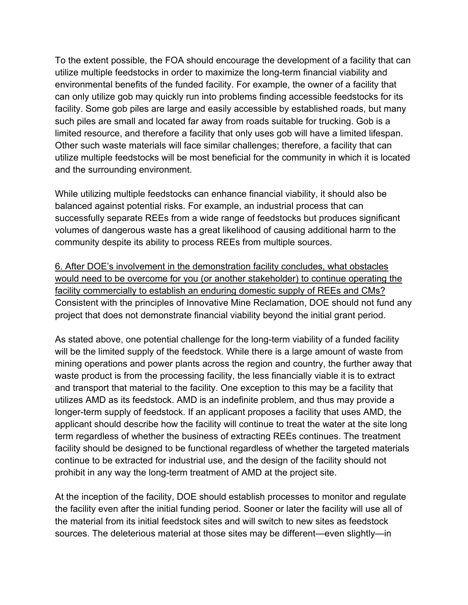To the extent possible, the FOA should encourage the development of a facility that can utilize multiple feedstocks in order to maximize the long-term financial viability and environmental benefits of the funded facility. For example, the owner of a facility that can only utilize gob may quickly run into problems finding accessible feedstocks for its facility. Some gob piles are large and easily accessible by established roads, but many such piles are small and located far away from roads suitable for trucking. Gob is a limited resource, and therefore a facility that only uses gob will have a limited lifespan. Other such waste materials will face similar challenges; therefore, a facility that can utilize multiple feedstocks will be most beneficial for the community in which it is located and the surrounding environment.

While utilizing multiple feedstocks can enhance financial viability, it should also be balanced against potential risks. For example, an industrial process that can successfully separate REEs from a wide range of feedstocks but produces significant volumes of dangerous waste has a great likelihood of causing additional harm to the community despite its ability to process REEs from multiple sources.

6. After DOE's involvement in the demonstration facility concludes, what obstacles would need to be overcome for you (or another stakeholder) to continue operating the facility commercially to establish an enduring domestic supply of REEs and CMs? Consistent with the principles of Innovative Mine Reclamation, DOE should not fund any project that does not demonstrate financial viability beyond the initial grant period.

As stated above, one potential challenge for the long-term viability of a funded facility will be the limited supply of the feedstock. While there is a large amount of waste from mining operations and power plants across the region and country, the further away that waste product is from the processing facility, the less financially viable it is to extract and transport that material to the facility. One exception to this may be a facility that utilizes AMD as its feedstock. AMD is an indefinite problem, and thus may provide a longer-term supply of feedstock. If an applicant proposes a facility that uses AMD, the applicant should describe how the facility will continue to treat the water at the site long term regardless of whether the business of extracting REEs continues. The treatment facility should be designed to be functional regardless of whether the targeted materials continue to be extracted for industrial use, and the design of the facility should not prohibit in any way the long-term treatment of AMD at the project site.

At the inception of the facility, DOE should establish processes to monitor and regulate the facility even after the initial funding period. Sooner or later the facility will use all of the material from its initial feedstock sites and will switch to new sites as feedstock sources. The deleterious material at those sites may be different—even slightly—in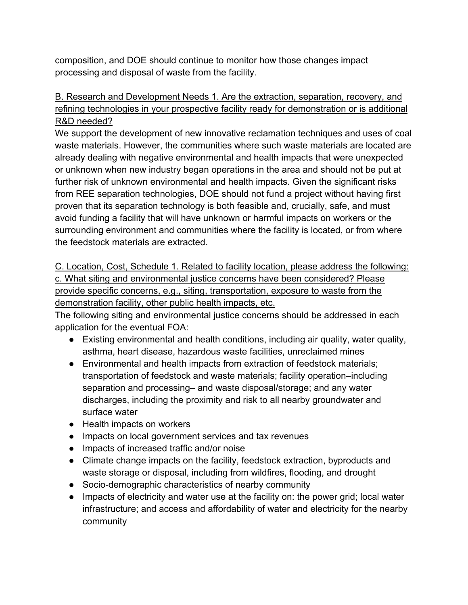composition, and DOE should continue to monitor how those changes impact processing and disposal of waste from the facility.

# B. Research and Development Needs 1. Are the extraction, separation, recovery, and refining technologies in your prospective facility ready for demonstration or is additional R&D needed?

We support the development of new innovative reclamation techniques and uses of coal waste materials. However, the communities where such waste materials are located are already dealing with negative environmental and health impacts that were unexpected or unknown when new industry began operations in the area and should not be put at further risk of unknown environmental and health impacts. Given the significant risks from REE separation technologies, DOE should not fund a project without having first proven that its separation technology is both feasible and, crucially, safe, and must avoid funding a facility that will have unknown or harmful impacts on workers or the surrounding environment and communities where the facility is located, or from where the feedstock materials are extracted.

C. Location, Cost, Schedule 1. Related to facility location, please address the following: c. What siting and environmental justice concerns have been considered? Please provide specific concerns, e.g., siting, transportation, exposure to waste from the demonstration facility, other public health impacts, etc.

The following siting and environmental justice concerns should be addressed in each application for the eventual FOA:

- Existing environmental and health conditions, including air quality, water quality, asthma, heart disease, hazardous waste facilities, unreclaimed mines
- Environmental and health impacts from extraction of feedstock materials; transportation of feedstock and waste materials; facility operation–including separation and processing– and waste disposal/storage; and any water discharges, including the proximity and risk to all nearby groundwater and surface water
- Health impacts on workers
- Impacts on local government services and tax revenues
- Impacts of increased traffic and/or noise
- Climate change impacts on the facility, feedstock extraction, byproducts and waste storage or disposal, including from wildfires, flooding, and drought
- Socio-demographic characteristics of nearby community
- Impacts of electricity and water use at the facility on: the power grid; local water infrastructure; and access and affordability of water and electricity for the nearby community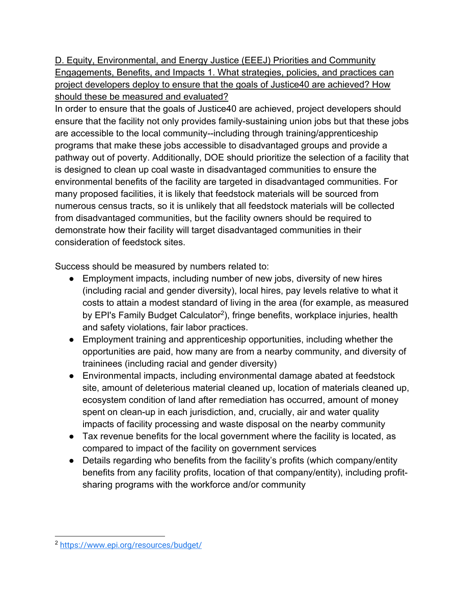D. Equity, Environmental, and Energy Justice (EEEJ) Priorities and Community Engagements, Benefits, and Impacts 1. What strategies, policies, and practices can project developers deploy to ensure that the goals of Justice40 are achieved? How should these be measured and evaluated?

In order to ensure that the goals of Justice40 are achieved, project developers should ensure that the facility not only provides family-sustaining union jobs but that these jobs are accessible to the local community--including through training/apprenticeship programs that make these jobs accessible to disadvantaged groups and provide a pathway out of poverty. Additionally, DOE should prioritize the selection of a facility that is designed to clean up coal waste in disadvantaged communities to ensure the environmental benefits of the facility are targeted in disadvantaged communities. For many proposed facilities, it is likely that feedstock materials will be sourced from numerous census tracts, so it is unlikely that all feedstock materials will be collected from disadvantaged communities, but the facility owners should be required to demonstrate how their facility will target disadvantaged communities in their consideration of feedstock sites.

Success should be measured by numbers related to:

- Employment impacts, including number of new jobs, diversity of new hires (including racial and gender diversity), local hires, pay levels relative to what it costs to attain a modest standard of living in the area (for example, as measured by EPI's Family Budget Calculator<sup>2</sup>), fringe benefits, workplace injuries, health and safety violations, fair labor practices.
- Employment training and apprenticeship opportunities, including whether the opportunities are paid, how many are from a nearby community, and diversity of traininees (including racial and gender diversity)
- Environmental impacts, including environmental damage abated at feedstock site, amount of deleterious material cleaned up, location of materials cleaned up, ecosystem condition of land after remediation has occurred, amount of money spent on clean-up in each jurisdiction, and, crucially, air and water quality impacts of facility processing and waste disposal on the nearby community
- Tax revenue benefits for the local government where the facility is located, as compared to impact of the facility on government services
- Details regarding who benefits from the facility's profits (which company/entity benefits from any facility profits, location of that company/entity), including profitsharing programs with the workforce and/or community

<sup>2</sup> https://www.epi.org/resources/budget/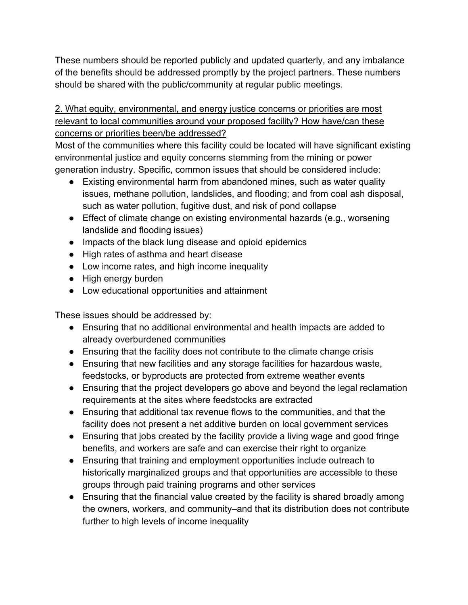These numbers should be reported publicly and updated quarterly, and any imbalance of the benefits should be addressed promptly by the project partners. These numbers should be shared with the public/community at regular public meetings.

### 2. What equity, environmental, and energy justice concerns or priorities are most relevant to local communities around your proposed facility? How have/can these concerns or priorities been/be addressed?

Most of the communities where this facility could be located will have significant existing environmental justice and equity concerns stemming from the mining or power generation industry. Specific, common issues that should be considered include:

- Existing environmental harm from abandoned mines, such as water quality issues, methane pollution, landslides, and flooding; and from coal ash disposal, such as water pollution, fugitive dust, and risk of pond collapse
- Effect of climate change on existing environmental hazards (e.g., worsening landslide and flooding issues)
- Impacts of the black lung disease and opioid epidemics
- High rates of asthma and heart disease
- Low income rates, and high income inequality
- High energy burden
- Low educational opportunities and attainment

These issues should be addressed by:

- Ensuring that no additional environmental and health impacts are added to already overburdened communities
- Ensuring that the facility does not contribute to the climate change crisis
- Ensuring that new facilities and any storage facilities for hazardous waste, feedstocks, or byproducts are protected from extreme weather events
- Ensuring that the project developers go above and beyond the legal reclamation requirements at the sites where feedstocks are extracted
- Ensuring that additional tax revenue flows to the communities, and that the facility does not present a net additive burden on local government services
- Ensuring that jobs created by the facility provide a living wage and good fringe benefits, and workers are safe and can exercise their right to organize
- Ensuring that training and employment opportunities include outreach to historically marginalized groups and that opportunities are accessible to these groups through paid training programs and other services
- Ensuring that the financial value created by the facility is shared broadly among the owners, workers, and community–and that its distribution does not contribute further to high levels of income inequality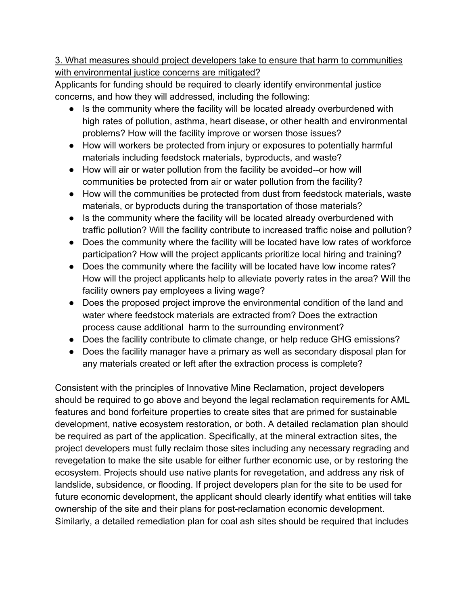### 3. What measures should project developers take to ensure that harm to communities with environmental justice concerns are mitigated?

Applicants for funding should be required to clearly identify environmental justice concerns, and how they will addressed, including the following:

- Is the community where the facility will be located already overburdened with high rates of pollution, asthma, heart disease, or other health and environmental problems? How will the facility improve or worsen those issues?
- How will workers be protected from injury or exposures to potentially harmful materials including feedstock materials, byproducts, and waste?
- How will air or water pollution from the facility be avoided--or how will communities be protected from air or water pollution from the facility?
- How will the communities be protected from dust from feedstock materials, waste materials, or byproducts during the transportation of those materials?
- Is the community where the facility will be located already overburdened with traffic pollution? Will the facility contribute to increased traffic noise and pollution?
- Does the community where the facility will be located have low rates of workforce participation? How will the project applicants prioritize local hiring and training?
- Does the community where the facility will be located have low income rates? How will the project applicants help to alleviate poverty rates in the area? Will the facility owners pay employees a living wage?
- Does the proposed project improve the environmental condition of the land and water where feedstock materials are extracted from? Does the extraction process cause additional harm to the surrounding environment?
- Does the facility contribute to climate change, or help reduce GHG emissions?
- Does the facility manager have a primary as well as secondary disposal plan for any materials created or left after the extraction process is complete?

Consistent with the principles of Innovative Mine Reclamation, project developers should be required to go above and beyond the legal reclamation requirements for AML features and bond forfeiture properties to create sites that are primed for sustainable development, native ecosystem restoration, or both. A detailed reclamation plan should be required as part of the application. Specifically, at the mineral extraction sites, the project developers must fully reclaim those sites including any necessary regrading and revegetation to make the site usable for either further economic use, or by restoring the ecosystem. Projects should use native plants for revegetation, and address any risk of landslide, subsidence, or flooding. If project developers plan for the site to be used for future economic development, the applicant should clearly identify what entities will take ownership of the site and their plans for post-reclamation economic development. Similarly, a detailed remediation plan for coal ash sites should be required that includes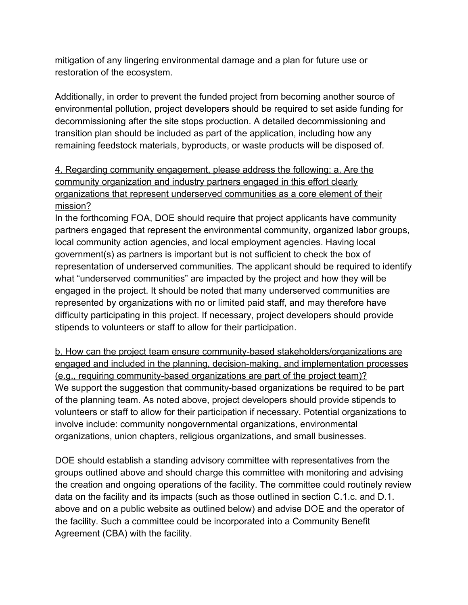mitigation of any lingering environmental damage and a plan for future use or restoration of the ecosystem.

Additionally, in order to prevent the funded project from becoming another source of environmental pollution, project developers should be required to set aside funding for decommissioning after the site stops production. A detailed decommissioning and transition plan should be included as part of the application, including how any remaining feedstock materials, byproducts, or waste products will be disposed of.

# 4. Regarding community engagement, please address the following: a. Are the community organization and industry partners engaged in this effort clearly organizations that represent underserved communities as a core element of their mission?

In the forthcoming FOA, DOE should require that project applicants have community partners engaged that represent the environmental community, organized labor groups, local community action agencies, and local employment agencies. Having local government(s) as partners is important but is not sufficient to check the box of representation of underserved communities. The applicant should be required to identify what "underserved communities" are impacted by the project and how they will be engaged in the project. It should be noted that many underserved communities are represented by organizations with no or limited paid staff, and may therefore have difficulty participating in this project. If necessary, project developers should provide stipends to volunteers or staff to allow for their participation.

b. How can the project team ensure community-based stakeholders/organizations are engaged and included in the planning, decision-making, and implementation processes (e.g., requiring community-based organizations are part of the project team)? We support the suggestion that community-based organizations be required to be part of the planning team. As noted above, project developers should provide stipends to volunteers or staff to allow for their participation if necessary. Potential organizations to involve include: community nongovernmental organizations, environmental organizations, union chapters, religious organizations, and small businesses.

DOE should establish a standing advisory committee with representatives from the groups outlined above and should charge this committee with monitoring and advising the creation and ongoing operations of the facility. The committee could routinely review data on the facility and its impacts (such as those outlined in section C.1.c. and D.1. above and on a public website as outlined below) and advise DOE and the operator of the facility. Such a committee could be incorporated into a Community Benefit Agreement (CBA) with the facility.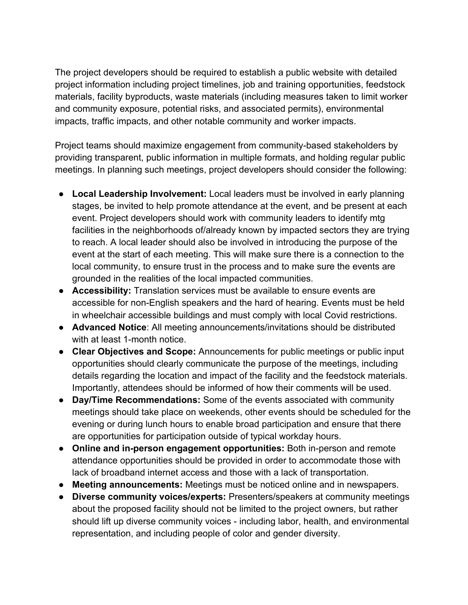The project developers should be required to establish a public website with detailed project information including project timelines, job and training opportunities, feedstock materials, facility byproducts, waste materials (including measures taken to limit worker and community exposure, potential risks, and associated permits), environmental impacts, traffic impacts, and other notable community and worker impacts.

Project teams should maximize engagement from community-based stakeholders by providing transparent, public information in multiple formats, and holding regular public meetings. In planning such meetings, project developers should consider the following:

- **Local Leadership Involvement:** Local leaders must be involved in early planning stages, be invited to help promote attendance at the event, and be present at each event. Project developers should work with community leaders to identify mtg facilities in the neighborhoods of/already known by impacted sectors they are trying to reach. A local leader should also be involved in introducing the purpose of the event at the start of each meeting. This will make sure there is a connection to the local community, to ensure trust in the process and to make sure the events are grounded in the realities of the local impacted communities.
- **Accessibility:** Translation services must be available to ensure events are accessible for non-English speakers and the hard of hearing. Events must be held in wheelchair accessible buildings and must comply with local Covid restrictions.
- **Advanced Notice**: All meeting announcements/invitations should be distributed with at least 1-month notice.
- **Clear Objectives and Scope:** Announcements for public meetings or public input opportunities should clearly communicate the purpose of the meetings, including details regarding the location and impact of the facility and the feedstock materials. Importantly, attendees should be informed of how their comments will be used.
- **Day/Time Recommendations:** Some of the events associated with community meetings should take place on weekends, other events should be scheduled for the evening or during lunch hours to enable broad participation and ensure that there are opportunities for participation outside of typical workday hours.
- **Online and in-person engagement opportunities:** Both in-person and remote attendance opportunities should be provided in order to accommodate those with lack of broadband internet access and those with a lack of transportation.
- **Meeting announcements:** Meetings must be noticed online and in newspapers.
- **Diverse community voices/experts:** Presenters/speakers at community meetings about the proposed facility should not be limited to the project owners, but rather should lift up diverse community voices - including labor, health, and environmental representation, and including people of color and gender diversity.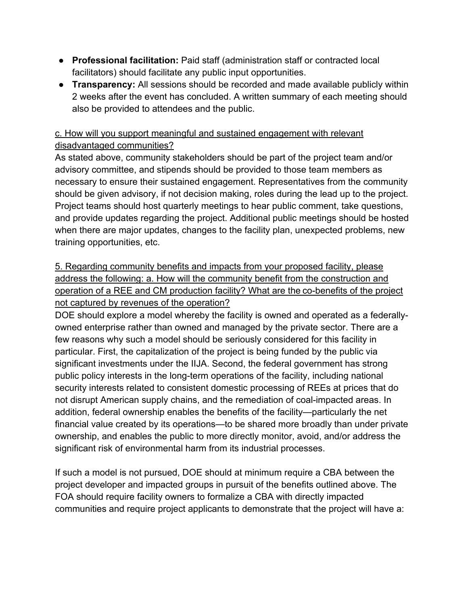- **Professional facilitation:** Paid staff (administration staff or contracted local facilitators) should facilitate any public input opportunities.
- **Transparency:** All sessions should be recorded and made available publicly within 2 weeks after the event has concluded. A written summary of each meeting should also be provided to attendees and the public.

# c. How will you support meaningful and sustained engagement with relevant disadvantaged communities?

As stated above, community stakeholders should be part of the project team and/or advisory committee, and stipends should be provided to those team members as necessary to ensure their sustained engagement. Representatives from the community should be given advisory, if not decision making, roles during the lead up to the project. Project teams should host quarterly meetings to hear public comment, take questions, and provide updates regarding the project. Additional public meetings should be hosted when there are major updates, changes to the facility plan, unexpected problems, new training opportunities, etc.

5. Regarding community benefits and impacts from your proposed facility, please address the following: a. How will the community benefit from the construction and operation of a REE and CM production facility? What are the co-benefits of the project not captured by revenues of the operation?

DOE should explore a model whereby the facility is owned and operated as a federallyowned enterprise rather than owned and managed by the private sector. There are a few reasons why such a model should be seriously considered for this facility in particular. First, the capitalization of the project is being funded by the public via significant investments under the IIJA. Second, the federal government has strong public policy interests in the long-term operations of the facility, including national security interests related to consistent domestic processing of REEs at prices that do not disrupt American supply chains, and the remediation of coal-impacted areas. In addition, federal ownership enables the benefits of the facility—particularly the net financial value created by its operations—to be shared more broadly than under private ownership, and enables the public to more directly monitor, avoid, and/or address the significant risk of environmental harm from its industrial processes.

If such a model is not pursued, DOE should at minimum require a CBA between the project developer and impacted groups in pursuit of the benefits outlined above. The FOA should require facility owners to formalize a CBA with directly impacted communities and require project applicants to demonstrate that the project will have a: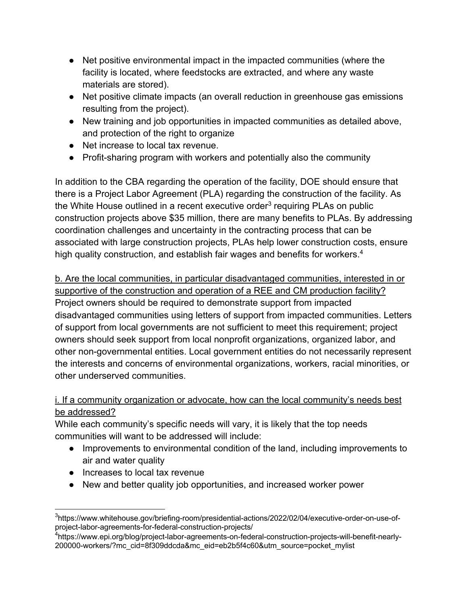- Net positive environmental impact in the impacted communities (where the facility is located, where feedstocks are extracted, and where any waste materials are stored).
- Net positive climate impacts (an overall reduction in greenhouse gas emissions resulting from the project).
- New training and job opportunities in impacted communities as detailed above, and protection of the right to organize
- Net increase to local tax revenue.
- Profit-sharing program with workers and potentially also the community

In addition to the CBA regarding the operation of the facility, DOE should ensure that there is a Project Labor Agreement (PLA) regarding the construction of the facility. As the White House outlined in a recent executive order<sup>3</sup> requiring PLAs on public construction projects above \$35 million, there are many benefits to PLAs. By addressing coordination challenges and uncertainty in the contracting process that can be associated with large construction projects, PLAs help lower construction costs, ensure high quality construction, and establish fair wages and benefits for workers.<sup>4</sup>

b. Are the local communities, in particular disadvantaged communities, interested in or supportive of the construction and operation of a REE and CM production facility? Project owners should be required to demonstrate support from impacted disadvantaged communities using letters of support from impacted communities. Letters of support from local governments are not sufficient to meet this requirement; project owners should seek support from local nonprofit organizations, organized labor, and other non-governmental entities. Local government entities do not necessarily represent the interests and concerns of environmental organizations, workers, racial minorities, or other underserved communities.

# i. If a community organization or advocate, how can the local community's needs best be addressed?

While each community's specific needs will vary, it is likely that the top needs communities will want to be addressed will include:

- Improvements to environmental condition of the land, including improvements to air and water quality
- Increases to local tax revenue
- New and better quality job opportunities, and increased worker power

<sup>&</sup>lt;sup>3</sup>https://www.whitehouse.gov/briefing-room/presidential-actions/2022/02/04/executive-order-on-use-ofproject-labor-agreements-for-federal-construction-projects/

<sup>&</sup>lt;sup>4</sup>https://www.epi.org/blog/project-labor-agreements-on-federal-construction-projects-will-benefit-nearly-200000-workers/?mc\_cid=8f309ddcda&mc\_eid=eb2b5f4c60&utm\_source=pocket\_mylist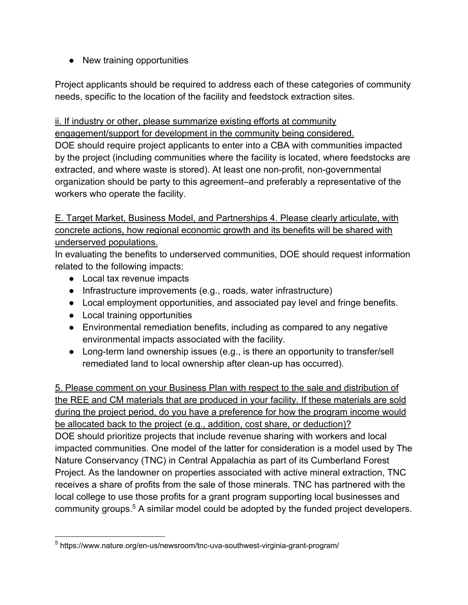● New training opportunities

Project applicants should be required to address each of these categories of community needs, specific to the location of the facility and feedstock extraction sites.

ii. If industry or other, please summarize existing efforts at community engagement/support for development in the community being considered. DOE should require project applicants to enter into a CBA with communities impacted by the project (including communities where the facility is located, where feedstocks are extracted, and where waste is stored). At least one non-profit, non-governmental organization should be party to this agreement–and preferably a representative of the workers who operate the facility.

E. Target Market, Business Model, and Partnerships 4. Please clearly articulate, with concrete actions, how regional economic growth and its benefits will be shared with underserved populations.

In evaluating the benefits to underserved communities, DOE should request information related to the following impacts:

- Local tax revenue impacts
- Infrastructure improvements (e.g., roads, water infrastructure)
- Local employment opportunities, and associated pay level and fringe benefits.
- Local training opportunities
- Environmental remediation benefits, including as compared to any negative environmental impacts associated with the facility.
- Long-term land ownership issues (e.g., is there an opportunity to transfer/sell remediated land to local ownership after clean-up has occurred).

5. Please comment on your Business Plan with respect to the sale and distribution of the REE and CM materials that are produced in your facility. If these materials are sold during the project period, do you have a preference for how the program income would be allocated back to the project (e.g., addition, cost share, or deduction)? DOE should prioritize projects that include revenue sharing with workers and local impacted communities. One model of the latter for consideration is a model used by The Nature Conservancy (TNC) in Central Appalachia as part of its Cumberland Forest Project. As the landowner on properties associated with active mineral extraction, TNC receives a share of profits from the sale of those minerals. TNC has partnered with the local college to use those profits for a grant program supporting local businesses and community groups.5 A similar model could be adopted by the funded project developers.

<sup>5</sup> https://www.nature.org/en-us/newsroom/tnc-uva-southwest-virginia-grant-program/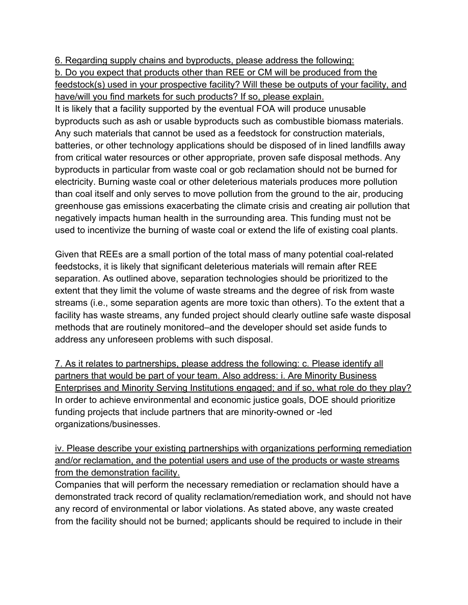6. Regarding supply chains and byproducts, please address the following:

b. Do you expect that products other than REE or CM will be produced from the feedstock(s) used in your prospective facility? Will these be outputs of your facility, and have/will you find markets for such products? If so, please explain.

It is likely that a facility supported by the eventual FOA will produce unusable byproducts such as ash or usable byproducts such as combustible biomass materials. Any such materials that cannot be used as a feedstock for construction materials, batteries, or other technology applications should be disposed of in lined landfills away from critical water resources or other appropriate, proven safe disposal methods. Any byproducts in particular from waste coal or gob reclamation should not be burned for electricity. Burning waste coal or other deleterious materials produces more pollution than coal itself and only serves to move pollution from the ground to the air, producing greenhouse gas emissions exacerbating the climate crisis and creating air pollution that negatively impacts human health in the surrounding area. This funding must not be used to incentivize the burning of waste coal or extend the life of existing coal plants.

Given that REEs are a small portion of the total mass of many potential coal-related feedstocks, it is likely that significant deleterious materials will remain after REE separation. As outlined above, separation technologies should be prioritized to the extent that they limit the volume of waste streams and the degree of risk from waste streams (i.e., some separation agents are more toxic than others). To the extent that a facility has waste streams, any funded project should clearly outline safe waste disposal methods that are routinely monitored–and the developer should set aside funds to address any unforeseen problems with such disposal.

7. As it relates to partnerships, please address the following: c. Please identify all partners that would be part of your team. Also address: i. Are Minority Business Enterprises and Minority Serving Institutions engaged; and if so, what role do they play? In order to achieve environmental and economic justice goals, DOE should prioritize funding projects that include partners that are minority-owned or -led organizations/businesses.

iv. Please describe your existing partnerships with organizations performing remediation and/or reclamation, and the potential users and use of the products or waste streams from the demonstration facility.

Companies that will perform the necessary remediation or reclamation should have a demonstrated track record of quality reclamation/remediation work, and should not have any record of environmental or labor violations. As stated above, any waste created from the facility should not be burned; applicants should be required to include in their